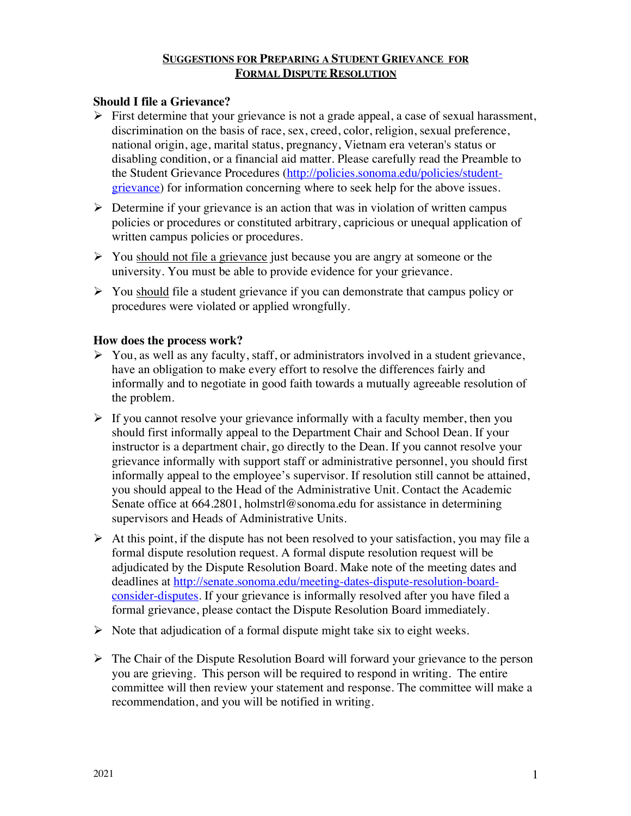# **SUGGESTIONS FOR PREPARING A STUDENT GRIEVANCE FOR FORMAL DISPUTE RESOLUTION**

# **Should I file a Grievance?**

- $\triangleright$  First determine that your grievance is not a grade appeal, a case of sexual harassment, discrimination on the basis of race, sex, creed, color, religion, sexual preference, national origin, age, marital status, pregnancy, Vietnam era veteran's status or disabling condition, or a financial aid matter. Please carefully read the Preamble to the Student Grievance Procedures (http://policies.sonoma.edu/policies/studentgrievance) for information concerning where to seek help for the above issues.
- $\triangleright$  Determine if your grievance is an action that was in violation of written campus policies or procedures or constituted arbitrary, capricious or unequal application of written campus policies or procedures.
- $\triangleright$  You should not file a grievance just because you are angry at someone or the university. You must be able to provide evidence for your grievance.
- $\triangleright$  You should file a student grievance if you can demonstrate that campus policy or procedures were violated or applied wrongfully.

### **How does the process work?**

- $\triangleright$  You, as well as any faculty, staff, or administrators involved in a student grievance, have an obligation to make every effort to resolve the differences fairly and informally and to negotiate in good faith towards a mutually agreeable resolution of the problem.
- $\triangleright$  If you cannot resolve your grievance informally with a faculty member, then you should first informally appeal to the Department Chair and School Dean. If your instructor is a department chair, go directly to the Dean. If you cannot resolve your grievance informally with support staff or administrative personnel, you should first informally appeal to the employee's supervisor. If resolution still cannot be attained, you should appeal to the Head of the Administrative Unit. Contact the Academic Senate office at 664.2801, holmstrl@sonoma.edu for assistance in determining supervisors and Heads of Administrative Units.
- $\triangleright$  At this point, if the dispute has not been resolved to your satisfaction, you may file a formal dispute resolution request. A formal dispute resolution request will be adjudicated by the Dispute Resolution Board. Make note of the meeting dates and deadlines at http://senate.sonoma.edu/meeting-dates-dispute-resolution-boardconsider-disputes. If your grievance is informally resolved after you have filed a formal grievance, please contact the Dispute Resolution Board immediately.
- $\triangleright$  Note that adjudication of a formal dispute might take six to eight weeks.
- $\triangleright$  The Chair of the Dispute Resolution Board will forward your grievance to the person you are grieving. This person will be required to respond in writing. The entire committee will then review your statement and response. The committee will make a recommendation, and you will be notified in writing.